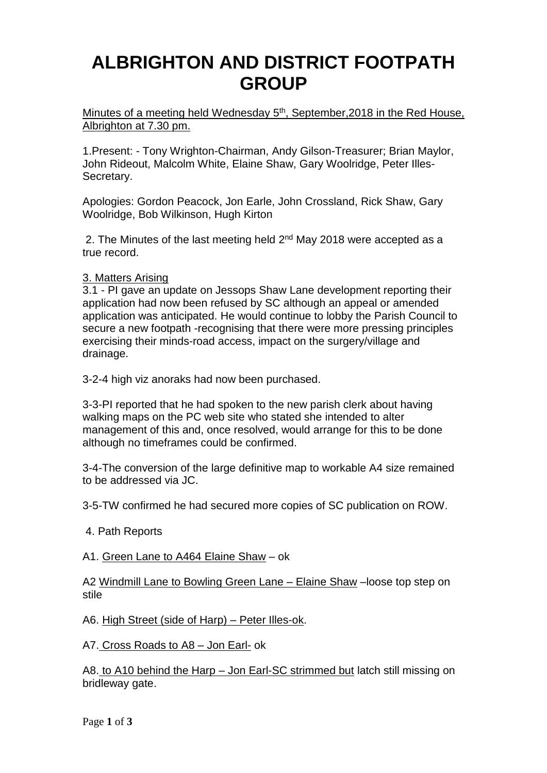# **ALBRIGHTON AND DISTRICT FOOTPATH GROUP**

Minutes of a meeting held Wednesday 5<sup>th</sup>, September, 2018 in the Red House, Albrighton at 7.30 pm.

1.Present: - Tony Wrighton-Chairman, Andy Gilson-Treasurer; Brian Maylor, John Rideout, Malcolm White, Elaine Shaw, Gary Woolridge, Peter Illes-Secretary.

Apologies: Gordon Peacock, Jon Earle, John Crossland, Rick Shaw, Gary Woolridge, Bob Wilkinson, Hugh Kirton

2. The Minutes of the last meeting held 2<sup>nd</sup> May 2018 were accepted as a true record.

### 3. Matters Arising

3.1 - PI gave an update on Jessops Shaw Lane development reporting their application had now been refused by SC although an appeal or amended application was anticipated. He would continue to lobby the Parish Council to secure a new footpath -recognising that there were more pressing principles exercising their minds-road access, impact on the surgery/village and drainage.

3-2-4 high viz anoraks had now been purchased.

3-3-PI reported that he had spoken to the new parish clerk about having walking maps on the PC web site who stated she intended to alter management of this and, once resolved, would arrange for this to be done although no timeframes could be confirmed.

3-4-The conversion of the large definitive map to workable A4 size remained to be addressed via JC.

3-5-TW confirmed he had secured more copies of SC publication on ROW.

4. Path Reports

### A1. Green Lane to A464 Elaine Shaw – ok

A2 Windmill Lane to Bowling Green Lane – Elaine Shaw –loose top step on stile

A6. High Street (side of Harp) – Peter Illes-ok.

A7. Cross Roads to A8 – Jon Earl- ok

A8. to A10 behind the Harp – Jon Earl-SC strimmed but latch still missing on bridleway gate.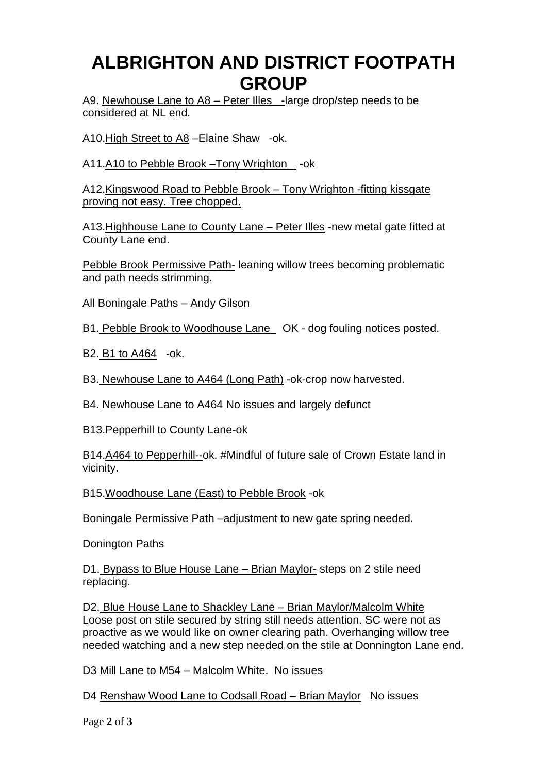# **ALBRIGHTON AND DISTRICT FOOTPATH GROUP**

A9. Newhouse Lane to A8 – Peter Illes -large drop/step needs to be considered at NL end.

A10.High Street to A8 –Elaine Shaw -ok.

A11.A10 to Pebble Brook –Tony Wrighton -ok

A12.Kingswood Road to Pebble Brook – Tony Wrighton -fitting kissgate proving not easy. Tree chopped.

A13.Highhouse Lane to County Lane – Peter Illes -new metal gate fitted at County Lane end.

Pebble Brook Permissive Path- leaning willow trees becoming problematic and path needs strimming.

All Boningale Paths – Andy Gilson

B1. Pebble Brook to Woodhouse Lane OK - dog fouling notices posted.

B2. B1 to A464 -ok.

B3. Newhouse Lane to A464 (Long Path) -ok-crop now harvested.

B4. Newhouse Lane to A464 No issues and largely defunct

B13.Pepperhill to County Lane-ok

B14.A464 to Pepperhill--ok. #Mindful of future sale of Crown Estate land in vicinity.

B15.Woodhouse Lane (East) to Pebble Brook -ok

Boningale Permissive Path –adjustment to new gate spring needed.

Donington Paths

D1. Bypass to Blue House Lane – Brian Maylor- steps on 2 stile need replacing.

D2. Blue House Lane to Shackley Lane – Brian Maylor/Malcolm White Loose post on stile secured by string still needs attention. SC were not as proactive as we would like on owner clearing path. Overhanging willow tree needed watching and a new step needed on the stile at Donnington Lane end.

D3 Mill Lane to M54 – Malcolm White. No issues

D4 Renshaw Wood Lane to Codsall Road – Brian Maylor No issues

Page **2** of **3**